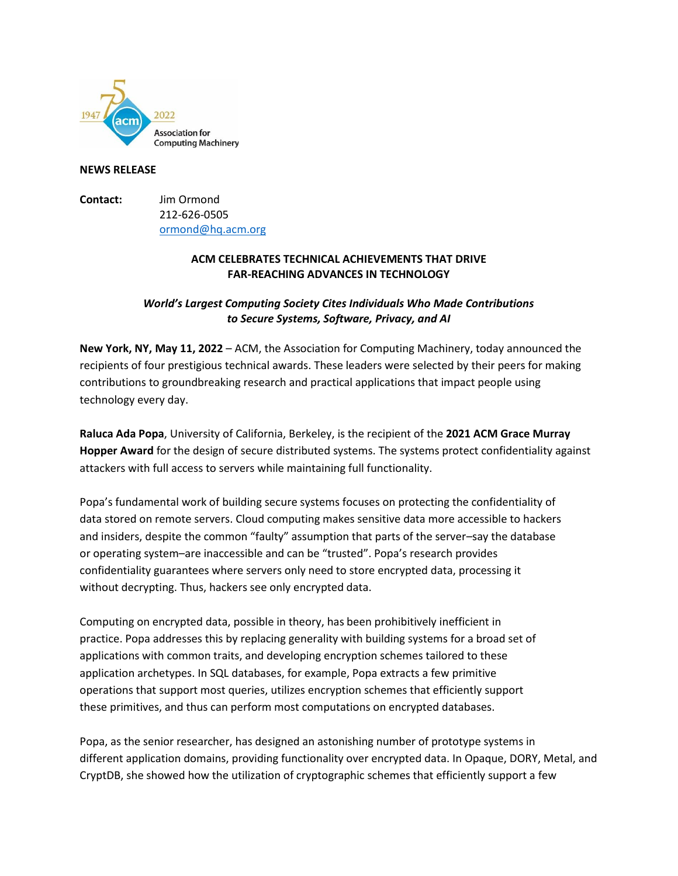

### **NEWS RELEASE**

**Contact:** Jim Ormond 212-626-0505 [ormond@hq.acm.org](mailto:ormond@hq.acm.org)

## **ACM CELEBRATES TECHNICAL ACHIEVEMENTS THAT DRIVE FAR-REACHING ADVANCES IN TECHNOLOGY**

# *World's Largest Computing Society Cites Individuals Who Made Contributions to Secure Systems, Software, Privacy, and AI*

**New York, NY, May 11, 2022** – ACM, the Association for Computing Machinery, today announced the recipients of four prestigious technical awards. These leaders were selected by their peers for making contributions to groundbreaking research and practical applications that impact people using technology every day.

**Raluca Ada Popa**, University of California, Berkeley, is the recipient of the **2021 ACM Grace Murray Hopper Award** for the design of secure distributed systems. The systems protect confidentiality against attackers with full access to servers while maintaining full functionality.

Popa's fundamental work of building secure systems focuses on protecting the confidentiality of data stored on remote servers. Cloud computing makes sensitive data more accessible to hackers and insiders, despite the common "faulty" assumption that parts of the server–say the database or operating system–are inaccessible and can be "trusted". Popa's research provides confidentiality guarantees where servers only need to store encrypted data, processing it without decrypting. Thus, hackers see only encrypted data.

Computing on encrypted data, possible in theory, has been prohibitively inefficient in practice. Popa addresses this by replacing generality with building systems for a broad set of applications with common traits, and developing encryption schemes tailored to these application archetypes. In SQL databases, for example, Popa extracts a few primitive operations that support most queries, utilizes encryption schemes that efficiently support these primitives, and thus can perform most computations on encrypted databases.

Popa, as the senior researcher, has designed an astonishing number of prototype systems in different application domains, providing functionality over encrypted data. In Opaque, DORY, Metal, and CryptDB, she showed how the utilization of cryptographic schemes that efficiently support a few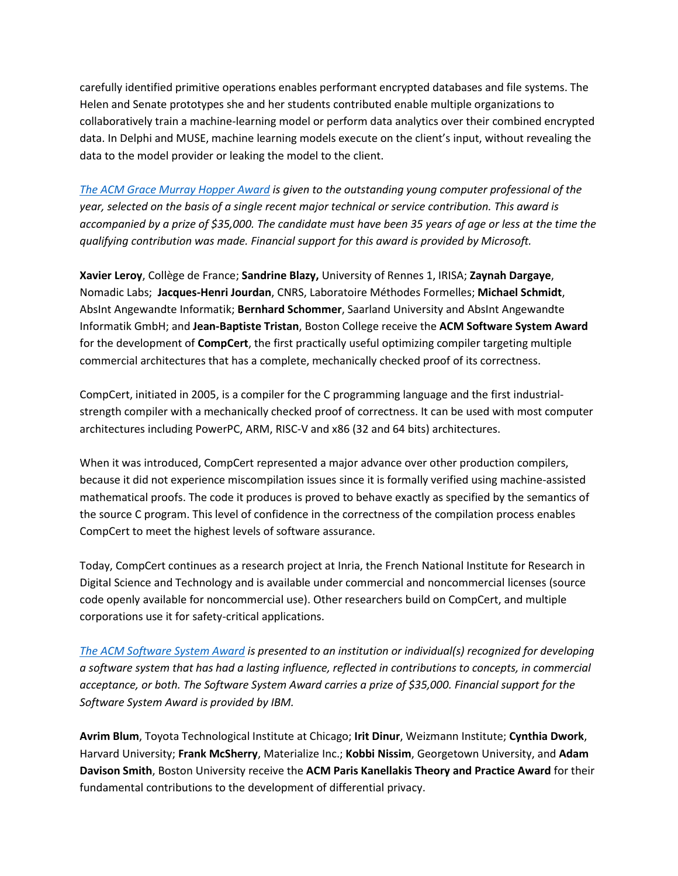carefully identified primitive operations enables performant encrypted databases and file systems. The Helen and Senate prototypes she and her students contributed enable multiple organizations to collaboratively train a machine-learning model or perform data analytics over their combined encrypted data. In Delphi and MUSE, machine learning models execute on the client's input, without revealing the data to the model provider or leaking the model to the client.

*[The ACM Grace Murray Hopper Award](https://awards.acm.org/hopper) is given to the outstanding young computer professional of the year, selected on the basis of a single recent major technical or service contribution. This award is accompanied by a prize of \$35,000. The candidate must have been 35 years of age or less at the time the qualifying contribution was made. Financial support for this award is provided by Microsoft.*

**Xavier Leroy**, Collège de France; **Sandrine Blazy,** University of Rennes 1, IRISA; **Zaynah Dargaye**, Nomadic Labs; **Jacques-Henri Jourdan**, CNRS, Laboratoire Méthodes Formelles; **Michael Schmidt**, AbsInt Angewandte Informatik; **Bernhard Schommer**, Saarland University and AbsInt Angewandte Informatik GmbH; and **Jean-Baptiste Tristan**, Boston College receive the **ACM Software System Award**  for the development of **CompCert**, the first practically useful optimizing compiler targeting multiple commercial architectures that has a complete, mechanically checked proof of its correctness.

CompCert, initiated in 2005, is a compiler for the C programming language and the first industrialstrength compiler with a mechanically checked proof of correctness. It can be used with most computer architectures including PowerPC, ARM, RISC-V and x86 (32 and 64 bits) architectures.

When it was introduced, CompCert represented a major advance over other production compilers, because it did not experience miscompilation issues since it is formally verified using machine-assisted mathematical proofs. The code it produces is proved to behave exactly as specified by the semantics of the source C program. This level of confidence in the correctness of the compilation process enables CompCert to meet the highest levels of software assurance.

Today, CompCert continues as a research project at Inria, the French National Institute for Research in Digital Science and Technology and is available under commercial and noncommercial licenses (source code openly available for noncommercial use). Other researchers build on CompCert, and multiple corporations use it for safety-critical applications.

*[The ACM Software System Award](https://awards.acm.org/software-system) is presented to an institution or individual(s) recognized for developing a software system that has had a lasting influence, reflected in contributions to concepts, in commercial acceptance, or both. The Software System Award carries a prize of \$35,000. Financial support for the Software System Award is provided by IBM.*

**Avrim Blum**, Toyota Technological Institute at Chicago; **Irit Dinur**, Weizmann Institute; **Cynthia Dwork**, Harvard University; **Frank McSherry**, Materialize Inc.; **Kobbi Nissim**, Georgetown University, and **Adam Davison Smith**, Boston University receive the **ACM Paris Kanellakis Theory and Practice Award** for their fundamental contributions to the development of differential privacy.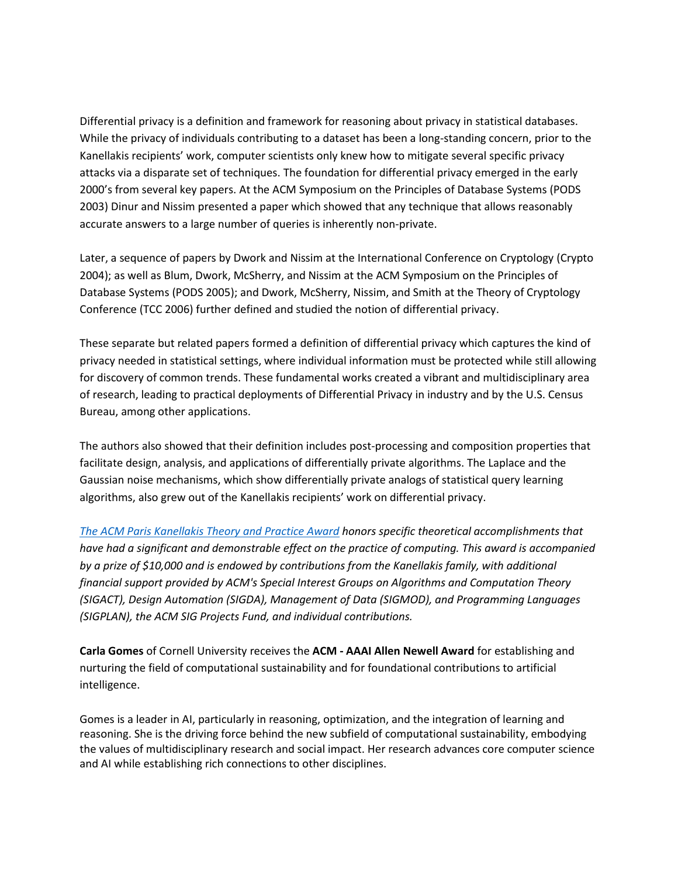Differential privacy is a definition and framework for reasoning about privacy in statistical databases. While the privacy of individuals contributing to a dataset has been a long-standing concern, prior to the Kanellakis recipients' work, computer scientists only knew how to mitigate several specific privacy attacks via a disparate set of techniques. The foundation for differential privacy emerged in the early 2000's from several key papers. At the ACM Symposium on the Principles of Database Systems (PODS 2003) Dinur and Nissim presented a paper which showed that any technique that allows reasonably accurate answers to a large number of queries is inherently non-private.

Later, a sequence of papers by Dwork and Nissim at the International Conference on Cryptology (Crypto 2004); as well as Blum, Dwork, McSherry, and Nissim at the ACM Symposium on the Principles of Database Systems (PODS 2005); and Dwork, McSherry, Nissim, and Smith at the Theory of Cryptology Conference (TCC 2006) further defined and studied the notion of differential privacy.

These separate but related papers formed a definition of differential privacy which captures the kind of privacy needed in statistical settings, where individual information must be protected while still allowing for discovery of common trends. These fundamental works created a vibrant and multidisciplinary area of research, leading to practical deployments of Differential Privacy in industry and by the U.S. Census Bureau, among other applications.

The authors also showed that their definition includes post-processing and composition properties that facilitate design, analysis, and applications of differentially private algorithms. The Laplace and the Gaussian noise mechanisms, which show differentially private analogs of statistical query learning algorithms, also grew out of the Kanellakis recipients' work on differential privacy.

*[The ACM Paris Kanellakis Theory and Practice Award](https://awards.acm.org/kanellakis) honors specific theoretical accomplishments that have had a significant and demonstrable effect on the practice of computing. This award is accompanied by a prize of \$10,000 and is endowed by contributions from the Kanellakis family, with additional financial support provided by ACM's Special Interest Groups on Algorithms and Computation Theory (SIGACT), Design Automation (SIGDA), Management of Data (SIGMOD), and Programming Languages (SIGPLAN), the ACM SIG Projects Fund, and individual contributions.*

**Carla Gomes** of Cornell University receives the **ACM - [AAAI Allen Newell Award](http://awards.acm.org/newell/)** for establishing and nurturing the field of computational sustainability and for foundational contributions to artificial intelligence.

Gomes is a leader in AI, particularly in reasoning, optimization, and the integration of learning and reasoning. She is the driving force behind the new subfield of computational sustainability, embodying the values of multidisciplinary research and social impact. Her research advances core computer science and AI while establishing rich connections to other disciplines.